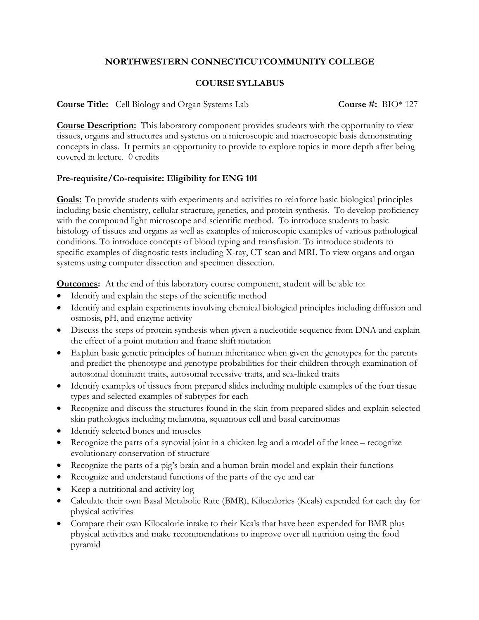## **NORTHWESTERN CONNECTICUTCOMMUNITY COLLEGE**

## **COURSE SYLLABUS**

**Course Title:** Cell Biology and Organ Systems Lab **Course #:** BIO\* 127

**Course Description:** This laboratory component provides students with the opportunity to view tissues, organs and structures and systems on a microscopic and macroscopic basis demonstrating concepts in class. It permits an opportunity to provide to explore topics in more depth after being covered in lecture. 0 credits

## **Pre-requisite/Co-requisite: Eligibility for ENG 101**

**Goals:** To provide students with experiments and activities to reinforce basic biological principles including basic chemistry, cellular structure, genetics, and protein synthesis. To develop proficiency with the compound light microscope and scientific method. To introduce students to basic histology of tissues and organs as well as examples of microscopic examples of various pathological conditions. To introduce concepts of blood typing and transfusion. To introduce students to specific examples of diagnostic tests including X-ray, CT scan and MRI. To view organs and organ systems using computer dissection and specimen dissection.

**Outcomes:** At the end of this laboratory course component, student will be able to:

- Identify and explain the steps of the scientific method
- Identify and explain experiments involving chemical biological principles including diffusion and osmosis, pH, and enzyme activity
- Discuss the steps of protein synthesis when given a nucleotide sequence from DNA and explain the effect of a point mutation and frame shift mutation
- Explain basic genetic principles of human inheritance when given the genotypes for the parents and predict the phenotype and genotype probabilities for their children through examination of autosomal dominant traits, autosomal recessive traits, and sex-linked traits
- Identify examples of tissues from prepared slides including multiple examples of the four tissue types and selected examples of subtypes for each
- Recognize and discuss the structures found in the skin from prepared slides and explain selected skin pathologies including melanoma, squamous cell and basal carcinomas
- Identify selected bones and muscles
- Recognize the parts of a synovial joint in a chicken leg and a model of the knee recognize evolutionary conservation of structure
- Recognize the parts of a pig's brain and a human brain model and explain their functions
- Recognize and understand functions of the parts of the eye and ear
- Keep a nutritional and activity log
- Calculate their own Basal Metabolic Rate (BMR), Kilocalories (Kcals) expended for each day for physical activities
- Compare their own Kilocalorie intake to their Kcals that have been expended for BMR plus physical activities and make recommendations to improve over all nutrition using the food pyramid